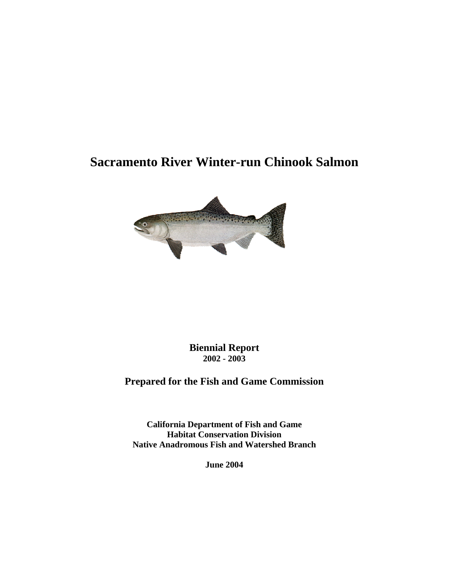# **Sacramento River Winter-run Chinook Salmon**



**Biennial Report 2002 - 2003**

# **Prepared for the Fish and Game Commission**

**California Department of Fish and Game Habitat Conservation Division Native Anadromous Fish and Watershed Branch** 

**June 2004**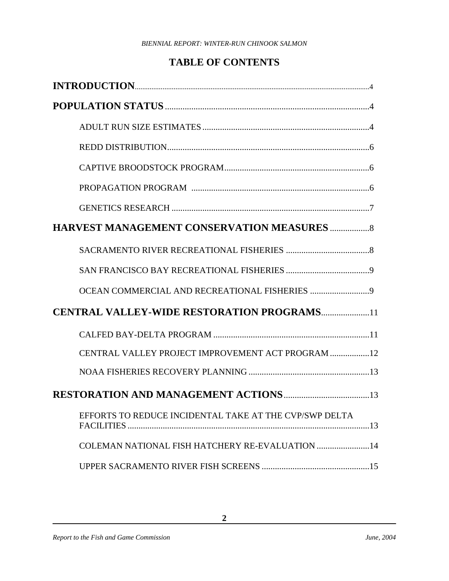## **TABLE OF CONTENTS**

| <b>CENTRAL VALLEY-WIDE RESTORATION PROGRAMS11</b>      |
|--------------------------------------------------------|
|                                                        |
| CENTRAL VALLEY PROJECT IMPROVEMENT ACT PROGRAM 12      |
|                                                        |
|                                                        |
| EFFORTS TO REDUCE INCIDENTAL TAKE AT THE CVP/SWP DELTA |
| COLEMAN NATIONAL FISH HATCHERY RE-EVALUATION  14       |
|                                                        |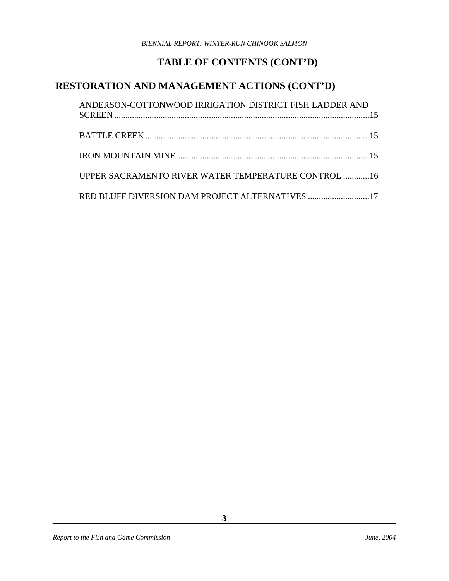# **TABLE OF CONTENTS (CONT'D)**

## **RESTORATION AND MANAGEMENT ACTIONS (CONT'D)**

| ANDERSON-COTTONWOOD IRRIGATION DISTRICT FISH LADDER AND    |  |
|------------------------------------------------------------|--|
|                                                            |  |
|                                                            |  |
| <b>UPPER SACRAMENTO RIVER WATER TEMPERATURE CONTROL 16</b> |  |
| RED BLUFF DIVERSION DAM PROJECT ALTERNATIVES 17            |  |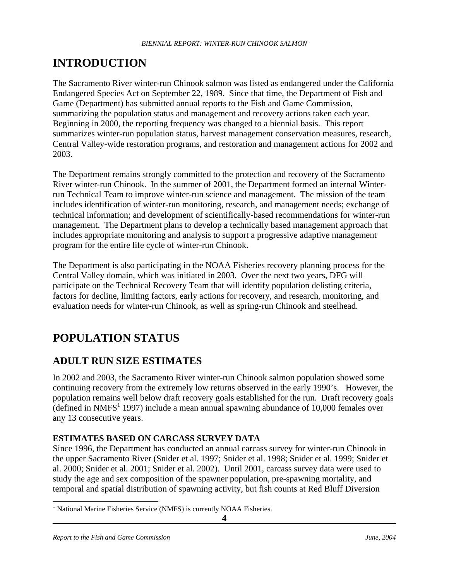# **INTRODUCTION**

The Sacramento River winter-run Chinook salmon was listed as endangered under the California Endangered Species Act on September 22, 1989. Since that time, the Department of Fish and Game (Department) has submitted annual reports to the Fish and Game Commission, summarizing the population status and management and recovery actions taken each year. Beginning in 2000, the reporting frequency was changed to a biennial basis. This report summarizes winter-run population status, harvest management conservation measures, research, Central Valley-wide restoration programs, and restoration and management actions for 2002 and 2003.

The Department remains strongly committed to the protection and recovery of the Sacramento River winter-run Chinook. In the summer of 2001, the Department formed an internal Winterrun Technical Team to improve winter-run science and management. The mission of the team includes identification of winter-run monitoring, research, and management needs; exchange of technical information; and development of scientifically-based recommendations for winter-run management. The Department plans to develop a technically based management approach that includes appropriate monitoring and analysis to support a progressive adaptive management program for the entire life cycle of winter-run Chinook.

The Department is also participating in the NOAA Fisheries recovery planning process for the Central Valley domain, which was initiated in 2003. Over the next two years, DFG will participate on the Technical Recovery Team that will identify population delisting criteria, factors for decline, limiting factors, early actions for recovery, and research, monitoring, and evaluation needs for winter-run Chinook, as well as spring-run Chinook and steelhead.

# **POPULATION STATUS**

## **ADULT RUN SIZE ESTIMATES**

In 2002 and 2003, the Sacramento River winter-run Chinook salmon population showed some continuing recovery from the extremely low returns observed in the early 1990's. However, the population remains well below draft recovery goals established for the run. Draft recovery goals  $\frac{1}{2}$  $\frac{1}{2}$  $\frac{1}{2}$  (defined in NMFS<sup>1</sup> 1997) include a mean annual spawning abundance of 10,000 females over any 13 consecutive years.

### **ESTIMATES BASED ON CARCASS SURVEY DATA**

Since 1996, the Department has conducted an annual carcass survey for winter-run Chinook in the upper Sacramento River (Snider et al. 1997; Snider et al. 1998; Snider et al. 1999; Snider et al. 2000; Snider et al. 2001; Snider et al. 2002). Until 2001, carcass survey data were used to study the age and sex composition of the spawner population, pre-spawning mortality, and temporal and spatial distribution of spawning activity, but fish counts at Red Bluff Diversion

 $\overline{a}$ 

<span id="page-3-0"></span><sup>&</sup>lt;sup>1</sup> National Marine Fisheries Service (NMFS) is currently NOAA Fisheries.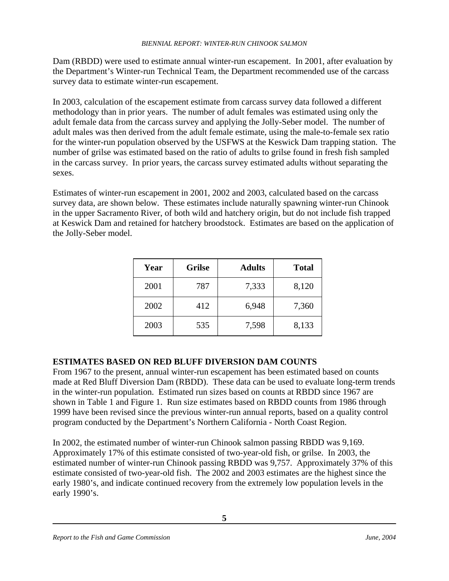Dam (RBDD) were used to estimate annual winter-run escapement. In 2001, after evaluation by the Department's Winter-run Technical Team, the Department recommended use of the carcass survey data to estimate winter-run escapement.

In 2003, calculation of the escapement estimate from carcass survey data followed a different methodology than in prior years. The number of adult females was estimated using only the adult female data from the carcass survey and applying the Jolly-Seber model. The number of adult males was then derived from the adult female estimate, using the male-to-female sex ratio for the winter-run population observed by the USFWS at the Keswick Dam trapping station. The number of grilse was estimated based on the ratio of adults to grilse found in fresh fish sampled in the carcass survey. In prior years, the carcass survey estimated adults without separating the sexes.

Estimates of winter-run escapement in 2001, 2002 and 2003, calculated based on the carcass survey data, are shown below. These estimates include naturally spawning winter-run Chinook in the upper Sacramento River, of both wild and hatchery origin, but do not include fish trapped at Keswick Dam and retained for hatchery broodstock. Estimates are based on the application of the Jolly-Seber model.

| Year | <b>Grilse</b><br><b>Adults</b> |       | <b>Total</b> |
|------|--------------------------------|-------|--------------|
| 2001 | 787                            | 7,333 | 8,120        |
| 2002 | 412                            | 6,948 | 7,360        |
| 2003 | 535                            | 7,598 | 8,133        |

### **ESTIMATES BASED ON RED BLUFF DIVERSION DAM COUNTS**

From 1967 to the present, annual winter-run escapement has been estimated based on counts made at Red Bluff Diversion Dam (RBDD). These data can be used to evaluate long-term trends in the winter-run population. Estimated run sizes based on counts at RBDD since 1967 are shown in Table 1 and Figure 1. Run size estimates based on RBDD counts from 1986 through 1999 have been revised since the previous winter-run annual reports, based on a quality control program conducted by the Department's Northern California - North Coast Region.

In 2002, the estimated number of winter-run Chinook salmon passing RBDD was 9,169. Approximately 17% of this estimate consisted of two-year-old fish, or grilse. In 2003, the estimated number of winter-run Chinook passing RBDD was 9,757. Approximately 37% of this estimate consisted of two-year-old fish. The 2002 and 2003 estimates are the highest since the early 1980's, and indicate continued recovery from the extremely low population levels in the early 1990's.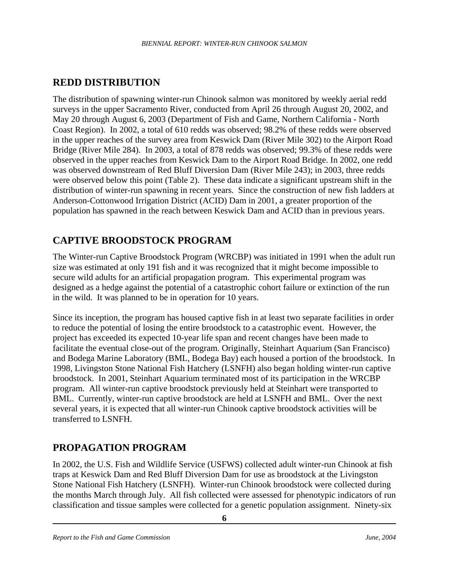## **REDD DISTRIBUTION**

The distribution of spawning winter-run Chinook salmon was monitored by weekly aerial redd surveys in the upper Sacramento River, conducted from April 26 through August 20, 2002, and May 20 through August 6, 2003 (Department of Fish and Game, Northern California - North Coast Region). In 2002, a total of 610 redds was observed; 98.2% of these redds were observed in the upper reaches of the survey area from Keswick Dam (River Mile 302) to the Airport Road Bridge (River Mile 284). In 2003, a total of 878 redds was observed; 99.3% of these redds were observed in the upper reaches from Keswick Dam to the Airport Road Bridge. In 2002, one redd was observed downstream of Red Bluff Diversion Dam (River Mile 243); in 2003, three redds were observed below this point (Table 2). These data indicate a significant upstream shift in the distribution of winter-run spawning in recent years. Since the construction of new fish ladders at Anderson-Cottonwood Irrigation District (ACID) Dam in 2001, a greater proportion of the population has spawned in the reach between Keswick Dam and ACID than in previous years.

## **CAPTIVE BROODSTOCK PROGRAM**

The Winter-run Captive Broodstock Program (WRCBP) was initiated in 1991 when the adult run size was estimated at only 191 fish and it was recognized that it might become impossible to secure wild adults for an artificial propagation program. This experimental program was designed as a hedge against the potential of a catastrophic cohort failure or extinction of the run in the wild. It was planned to be in operation for 10 years.

Since its inception, the program has housed captive fish in at least two separate facilities in order to reduce the potential of losing the entire broodstock to a catastrophic event. However, the project has exceeded its expected 10-year life span and recent changes have been made to facilitate the eventual close-out of the program. Originally, Steinhart Aquarium (San Francisco) and Bodega Marine Laboratory (BML, Bodega Bay) each housed a portion of the broodstock. In 1998, Livingston Stone National Fish Hatchery (LSNFH) also began holding winter-run captive broodstock. In 2001, Steinhart Aquarium terminated most of its participation in the WRCBP program. All winter-run captive broodstock previously held at Steinhart were transported to BML. Currently, winter-run captive broodstock are held at LSNFH and BML. Over the next several years, it is expected that all winter-run Chinook captive broodstock activities will be transferred to LSNFH.

## **PROPAGATION PROGRAM**

In 2002, the U.S. Fish and Wildlife Service (USFWS) collected adult winter-run Chinook at fish traps at Keswick Dam and Red Bluff Diversion Dam for use as broodstock at the Livingston Stone National Fish Hatchery (LSNFH). Winter-run Chinook broodstock were collected during the months March through July. All fish collected were assessed for phenotypic indicators of run classification and tissue samples were collected for a genetic population assignment. Ninety-six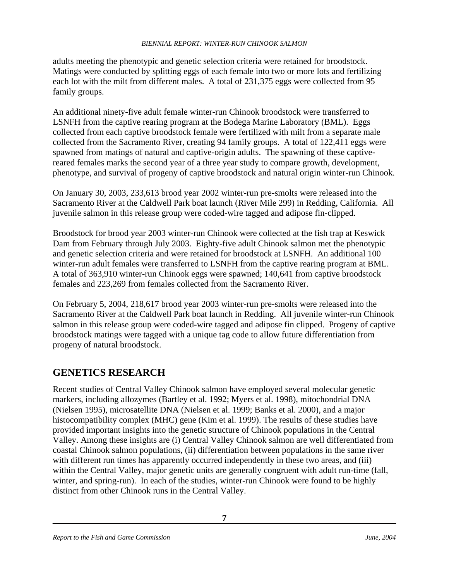adults meeting the phenotypic and genetic selection criteria were retained for broodstock. Matings were conducted by splitting eggs of each female into two or more lots and fertilizing each lot with the milt from different males. A total of 231,375 eggs were collected from 95 family groups.

An additional ninety-five adult female winter-run Chinook broodstock were transferred to LSNFH from the captive rearing program at the Bodega Marine Laboratory (BML). Eggs collected from each captive broodstock female were fertilized with milt from a separate male collected from the Sacramento River, creating 94 family groups. A total of 122,411 eggs were spawned from matings of natural and captive-origin adults. The spawning of these captivereared females marks the second year of a three year study to compare growth, development, phenotype, and survival of progeny of captive broodstock and natural origin winter-run Chinook.

On January 30, 2003, 233,613 brood year 2002 winter-run pre-smolts were released into the Sacramento River at the Caldwell Park boat launch (River Mile 299) in Redding, California. All juvenile salmon in this release group were coded-wire tagged and adipose fin-clipped.

Broodstock for brood year 2003 winter-run Chinook were collected at the fish trap at Keswick Dam from February through July 2003. Eighty-five adult Chinook salmon met the phenotypic and genetic selection criteria and were retained for broodstock at LSNFH. An additional 100 winter-run adult females were transferred to LSNFH from the captive rearing program at BML. A total of 363,910 winter-run Chinook eggs were spawned; 140,641 from captive broodstock females and 223,269 from females collected from the Sacramento River.

On February 5, 2004, 218,617 brood year 2003 winter-run pre-smolts were released into the Sacramento River at the Caldwell Park boat launch in Redding. All juvenile winter-run Chinook salmon in this release group were coded-wire tagged and adipose fin clipped. Progeny of captive broodstock matings were tagged with a unique tag code to allow future differentiation from progeny of natural broodstock.

### **GENETICS RESEARCH**

Recent studies of Central Valley Chinook salmon have employed several molecular genetic markers, including allozymes (Bartley et al. 1992; Myers et al. 1998), mitochondrial DNA (Nielsen 1995), microsatellite DNA (Nielsen et al. 1999; Banks et al. 2000), and a major histocompatibility complex (MHC) gene (Kim et al. 1999). The results of these studies have provided important insights into the genetic structure of Chinook populations in the Central Valley. Among these insights are (i) Central Valley Chinook salmon are well differentiated from coastal Chinook salmon populations, (ii) differentiation between populations in the same river with different run times has apparently occurred independently in these two areas, and (iii) within the Central Valley, major genetic units are generally congruent with adult run-time (fall, winter, and spring-run). In each of the studies, winter-run Chinook were found to be highly distinct from other Chinook runs in the Central Valley.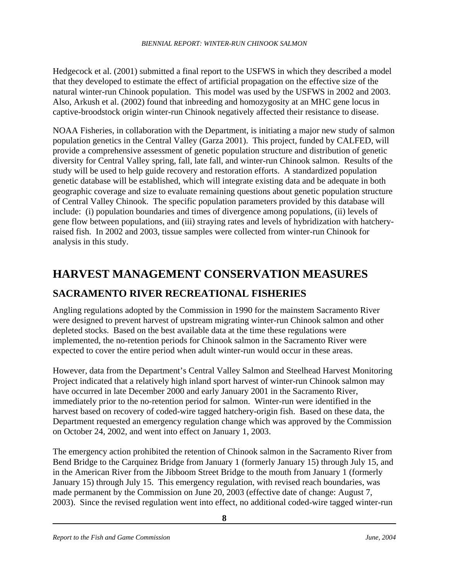Hedgecock et al. (2001) submitted a final report to the USFWS in which they described a model that they developed to estimate the effect of artificial propagation on the effective size of the natural winter-run Chinook population. This model was used by the USFWS in 2002 and 2003. Also, Arkush et al. (2002) found that inbreeding and homozygosity at an MHC gene locus in captive-broodstock origin winter-run Chinook negatively affected their resistance to disease.

NOAA Fisheries, in collaboration with the Department, is initiating a major new study of salmon population genetics in the Central Valley (Garza 2001). This project, funded by CALFED, will provide a comprehensive assessment of genetic population structure and distribution of genetic diversity for Central Valley spring, fall, late fall, and winter-run Chinook salmon. Results of the study will be used to help guide recovery and restoration efforts. A standardized population genetic database will be established, which will integrate existing data and be adequate in both geographic coverage and size to evaluate remaining questions about genetic population structure of Central Valley Chinook. The specific population parameters provided by this database will include: (i) population boundaries and times of divergence among populations, (ii) levels of gene flow between populations, and (iii) straying rates and levels of hybridization with hatcheryraised fish. In 2002 and 2003, tissue samples were collected from winter-run Chinook for analysis in this study.

# **HARVEST MANAGEMENT CONSERVATION MEASURES**

### **SACRAMENTO RIVER RECREATIONAL FISHERIES**

Angling regulations adopted by the Commission in 1990 for the mainstem Sacramento River were designed to prevent harvest of upstream migrating winter-run Chinook salmon and other depleted stocks. Based on the best available data at the time these regulations were implemented, the no-retention periods for Chinook salmon in the Sacramento River were expected to cover the entire period when adult winter-run would occur in these areas.

However, data from the Department's Central Valley Salmon and Steelhead Harvest Monitoring Project indicated that a relatively high inland sport harvest of winter-run Chinook salmon may have occurred in late December 2000 and early January 2001 in the Sacramento River, immediately prior to the no-retention period for salmon. Winter-run were identified in the harvest based on recovery of coded-wire tagged hatchery-origin fish. Based on these data, the Department requested an emergency regulation change which was approved by the Commission on October 24, 2002, and went into effect on January 1, 2003.

The emergency action prohibited the retention of Chinook salmon in the Sacramento River from Bend Bridge to the Carquinez Bridge from January 1 (formerly January 15) through July 15, and in the American River from the Jibboom Street Bridge to the mouth from January 1 (formerly January 15) through July 15. This emergency regulation, with revised reach boundaries, was made permanent by the Commission on June 20, 2003 (effective date of change: August 7, 2003). Since the revised regulation went into effect, no additional coded-wire tagged winter-run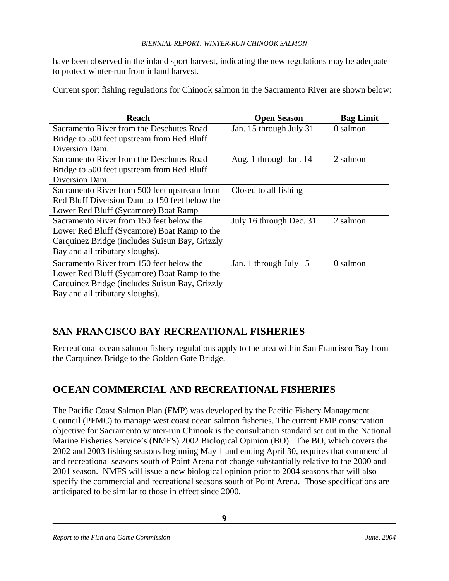have been observed in the inland sport harvest, indicating the new regulations may be adequate to protect winter-run from inland harvest.

Current sport fishing regulations for Chinook salmon in the Sacramento River are shown below:

| <b>Reach</b>                                   | <b>Open Season</b>      | <b>Bag Limit</b> |
|------------------------------------------------|-------------------------|------------------|
| Sacramento River from the Deschutes Road       | Jan. 15 through July 31 | 0 salmon         |
| Bridge to 500 feet upstream from Red Bluff     |                         |                  |
| Diversion Dam.                                 |                         |                  |
| Sacramento River from the Deschutes Road       | Aug. 1 through Jan. 14  | 2 salmon         |
| Bridge to 500 feet upstream from Red Bluff     |                         |                  |
| Diversion Dam.                                 |                         |                  |
| Sacramento River from 500 feet upstream from   | Closed to all fishing   |                  |
| Red Bluff Diversion Dam to 150 feet below the  |                         |                  |
| Lower Red Bluff (Sycamore) Boat Ramp           |                         |                  |
| Sacramento River from 150 feet below the       | July 16 through Dec. 31 | 2 salmon         |
| Lower Red Bluff (Sycamore) Boat Ramp to the    |                         |                  |
| Carquinez Bridge (includes Suisun Bay, Grizzly |                         |                  |
| Bay and all tributary sloughs).                |                         |                  |
| Sacramento River from 150 feet below the       | Jan. 1 through July 15  | 0 salmon         |
| Lower Red Bluff (Sycamore) Boat Ramp to the    |                         |                  |
| Carquinez Bridge (includes Suisun Bay, Grizzly |                         |                  |
| Bay and all tributary sloughs).                |                         |                  |

## **SAN FRANCISCO BAY RECREATIONAL FISHERIES**

Recreational ocean salmon fishery regulations apply to the area within San Francisco Bay from the Carquinez Bridge to the Golden Gate Bridge.

## **OCEAN COMMERCIAL AND RECREATIONAL FISHERIES**

The Pacific Coast Salmon Plan (FMP) was developed by the Pacific Fishery Management Council (PFMC) to manage west coast ocean salmon fisheries. The current FMP conservation objective for Sacramento winter-run Chinook is the consultation standard set out in the National Marine Fisheries Service's (NMFS) 2002 Biological Opinion (BO). The BO, which covers the 2002 and 2003 fishing seasons beginning May 1 and ending April 30, requires that commercial and recreational seasons south of Point Arena not change substantially relative to the 2000 and 2001 season. NMFS will issue a new biological opinion prior to 2004 seasons that will also specify the commercial and recreational seasons south of Point Arena. Those specifications are anticipated to be similar to those in effect since 2000.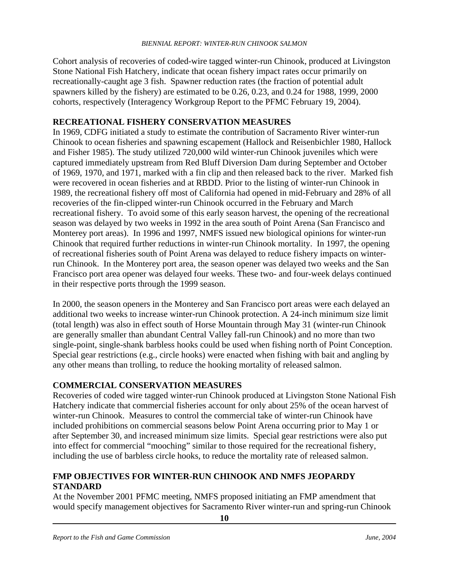Cohort analysis of recoveries of coded-wire tagged winter-run Chinook, produced at Livingston Stone National Fish Hatchery, indicate that ocean fishery impact rates occur primarily on recreationally-caught age 3 fish. Spawner reduction rates (the fraction of potential adult spawners killed by the fishery) are estimated to be 0.26, 0.23, and 0.24 for 1988, 1999, 2000 cohorts, respectively (Interagency Workgroup Report to the PFMC February 19, 2004).

### **RECREATIONAL FISHERY CONSERVATION MEASURES**

In 1969, CDFG initiated a study to estimate the contribution of Sacramento River winter-run Chinook to ocean fisheries and spawning escapement (Hallock and Reisenbichler 1980, Hallock and Fisher 1985). The study utilized 720,000 wild winter-run Chinook juveniles which were captured immediately upstream from Red Bluff Diversion Dam during September and October of 1969, 1970, and 1971, marked with a fin clip and then released back to the river. Marked fish were recovered in ocean fisheries and at RBDD. Prior to the listing of winter-run Chinook in 1989, the recreational fishery off most of California had opened in mid-February and 28% of all recoveries of the fin-clipped winter-run Chinook occurred in the February and March recreational fishery. To avoid some of this early season harvest, the opening of the recreational season was delayed by two weeks in 1992 in the area south of Point Arena (San Francisco and Monterey port areas). In 1996 and 1997, NMFS issued new biological opinions for winter-run Chinook that required further reductions in winter-run Chinook mortality. In 1997, the opening of recreational fisheries south of Point Arena was delayed to reduce fishery impacts on winterrun Chinook. In the Monterey port area, the season opener was delayed two weeks and the San Francisco port area opener was delayed four weeks. These two- and four-week delays continued in their respective ports through the 1999 season.

In 2000, the season openers in the Monterey and San Francisco port areas were each delayed an additional two weeks to increase winter-run Chinook protection. A 24-inch minimum size limit (total length) was also in effect south of Horse Mountain through May 31 (winter-run Chinook are generally smaller than abundant Central Valley fall-run Chinook) and no more than two single-point, single-shank barbless hooks could be used when fishing north of Point Conception. Special gear restrictions (e.g., circle hooks) were enacted when fishing with bait and angling by any other means than trolling, to reduce the hooking mortality of released salmon.

### **COMMERCIAL CONSERVATION MEASURES**

Recoveries of coded wire tagged winter-run Chinook produced at Livingston Stone National Fish Hatchery indicate that commercial fisheries account for only about 25% of the ocean harvest of winter-run Chinook. Measures to control the commercial take of winter-run Chinook have included prohibitions on commercial seasons below Point Arena occurring prior to May 1 or after September 30, and increased minimum size limits. Special gear restrictions were also put into effect for commercial "mooching" similar to those required for the recreational fishery, including the use of barbless circle hooks, to reduce the mortality rate of released salmon.

### **FMP OBJECTIVES FOR WINTER-RUN CHINOOK AND NMFS JEOPARDY STANDARD**

At the November 2001 PFMC meeting, NMFS proposed initiating an FMP amendment that would specify management objectives for Sacramento River winter-run and spring-run Chinook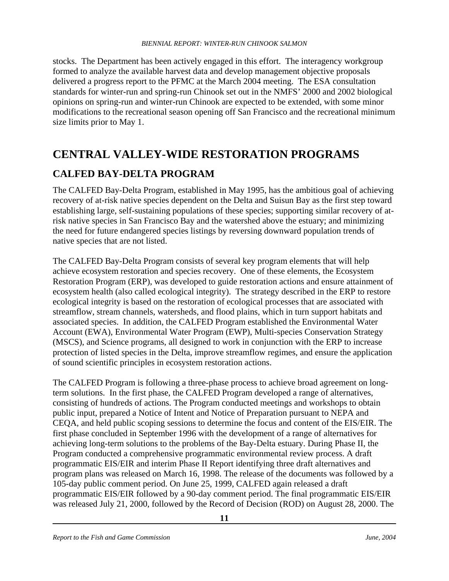stocks. The Department has been actively engaged in this effort. The interagency workgroup formed to analyze the available harvest data and develop management objective proposals delivered a progress report to the PFMC at the March 2004 meeting. The ESA consultation standards for winter-run and spring-run Chinook set out in the NMFS' 2000 and 2002 biological opinions on spring-run and winter-run Chinook are expected to be extended, with some minor modifications to the recreational season opening off San Francisco and the recreational minimum size limits prior to May 1.

# **CENTRAL VALLEY-WIDE RESTORATION PROGRAMS**

### **CALFED BAY-DELTA PROGRAM**

The CALFED Bay-Delta Program, established in May 1995, has the ambitious goal of achieving recovery of at-risk native species dependent on the Delta and Suisun Bay as the first step toward establishing large, self-sustaining populations of these species; supporting similar recovery of atrisk native species in San Francisco Bay and the watershed above the estuary; and minimizing the need for future endangered species listings by reversing downward population trends of native species that are not listed.

The CALFED Bay-Delta Program consists of several key program elements that will help achieve ecosystem restoration and species recovery. One of these elements, the Ecosystem Restoration Program (ERP), was developed to guide restoration actions and ensure attainment of ecosystem health (also called ecological integrity). The strategy described in the ERP to restore ecological integrity is based on the restoration of ecological processes that are associated with streamflow, stream channels, watersheds, and flood plains, which in turn support habitats and associated species. In addition, the CALFED Program established the Environmental Water Account (EWA), Environmental Water Program (EWP), Multi-species Conservation Strategy (MSCS), and Science programs, all designed to work in conjunction with the ERP to increase protection of listed species in the Delta, improve streamflow regimes, and ensure the application of sound scientific principles in ecosystem restoration actions.

The CALFED Program is following a three-phase process to achieve broad agreement on longterm solutions. In the first phase, the CALFED Program developed a range of alternatives, consisting of hundreds of actions. The Program conducted meetings and workshops to obtain public input, prepared a Notice of Intent and Notice of Preparation pursuant to NEPA and CEQA, and held public scoping sessions to determine the focus and content of the EIS/EIR. The first phase concluded in September 1996 with the development of a range of alternatives for achieving long-term solutions to the problems of the Bay-Delta estuary. During Phase II, the Program conducted a comprehensive programmatic environmental review process. A draft programmatic EIS/EIR and interim Phase II Report identifying three draft alternatives and program plans was released on March 16, 1998. The release of the documents was followed by a 105-day public comment period. On June 25, 1999, CALFED again released a draft programmatic EIS/EIR followed by a 90-day comment period. The final programmatic EIS/EIR was released July 21, 2000, followed by the Record of Decision (ROD) on August 28, 2000. The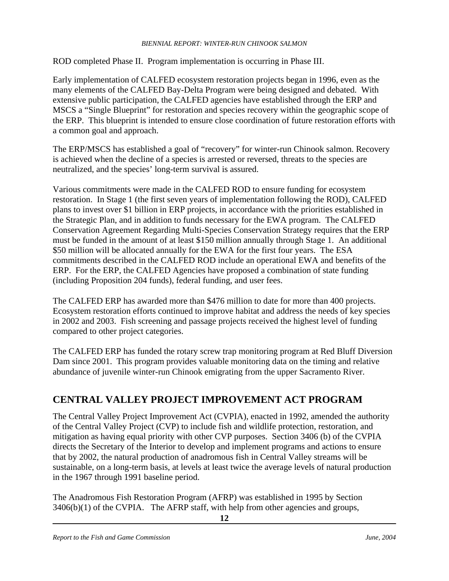ROD completed Phase II. Program implementation is occurring in Phase III.

Early implementation of CALFED ecosystem restoration projects began in 1996, even as the many elements of the CALFED Bay-Delta Program were being designed and debated. With extensive public participation, the CALFED agencies have established through the ERP and MSCS a "Single Blueprint" for restoration and species recovery within the geographic scope of the ERP. This blueprint is intended to ensure close coordination of future restoration efforts with a common goal and approach.

The ERP/MSCS has established a goal of "recovery" for winter-run Chinook salmon. Recovery is achieved when the decline of a species is arrested or reversed, threats to the species are neutralized, and the species' long-term survival is assured.

Various commitments were made in the CALFED ROD to ensure funding for ecosystem restoration. In Stage 1 (the first seven years of implementation following the ROD), CALFED plans to invest over \$1 billion in ERP projects, in accordance with the priorities established in the Strategic Plan, and in addition to funds necessary for the EWA program. The CALFED Conservation Agreement Regarding Multi-Species Conservation Strategy requires that the ERP must be funded in the amount of at least \$150 million annually through Stage 1. An additional \$50 million will be allocated annually for the EWA for the first four years. The ESA commitments described in the CALFED ROD include an operational EWA and benefits of the ERP. For the ERP, the CALFED Agencies have proposed a combination of state funding (including Proposition 204 funds), federal funding, and user fees.

The CALFED ERP has awarded more than \$476 million to date for more than 400 projects. Ecosystem restoration efforts continued to improve habitat and address the needs of key species in 2002 and 2003. Fish screening and passage projects received the highest level of funding compared to other project categories.

The CALFED ERP has funded the rotary screw trap monitoring program at Red Bluff Diversion Dam since 2001. This program provides valuable monitoring data on the timing and relative abundance of juvenile winter-run Chinook emigrating from the upper Sacramento River.

### **CENTRAL VALLEY PROJECT IMPROVEMENT ACT PROGRAM**

The Central Valley Project Improvement Act (CVPIA), enacted in 1992, amended the authority of the Central Valley Project (CVP) to include fish and wildlife protection, restoration, and mitigation as having equal priority with other CVP purposes. Section 3406 (b) of the CVPIA directs the Secretary of the Interior to develop and implement programs and actions to ensure that by 2002, the natural production of anadromous fish in Central Valley streams will be sustainable, on a long-term basis, at levels at least twice the average levels of natural production in the 1967 through 1991 baseline period.

The Anadromous Fish Restoration Program (AFRP) was established in 1995 by Section 3406(b)(1) of the CVPIA. The AFRP staff, with help from other agencies and groups,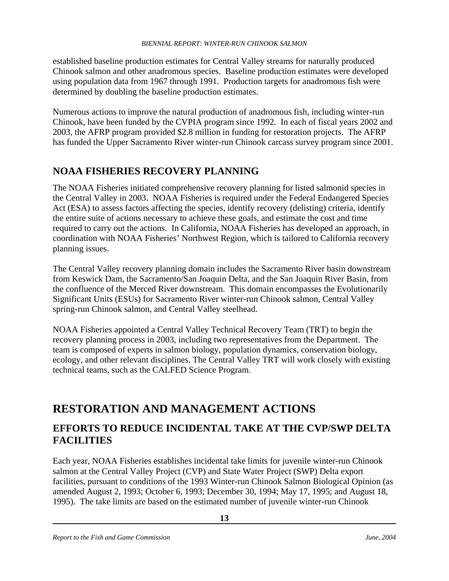established baseline production estimates for Central Valley streams for naturally produced Chinook salmon and other anadromous species. Baseline production estimates were developed using population data from 1967 through 1991. Production targets for anadromous fish were determined by doubling the baseline production estimates.

Numerous actions to improve the natural production of anadromous fish, including winter-run Chinook, have been funded by the CVPIA program since 1992. In each of fiscal years 2002 and 2003, the AFRP program provided \$2.8 million in funding for restoration projects. The AFRP has funded the Upper Sacramento River winter-run Chinook carcass survey program since 2001.

## **NOAA FISHERIES RECOVERY PLANNING**

The NOAA Fisheries initiated comprehensive recovery planning for listed salmonid species in the Central Valley in 2003. NOAA Fisheries is required under the Federal Endangered Species Act (ESA) to assess factors affecting the species, identify recovery (delisting) criteria, identify the entire suite of actions necessary to achieve these goals, and estimate the cost and time required to carry out the actions. In California, NOAA Fisheries has developed an approach, in coordination with NOAA Fisheries' Northwest Region, which is tailored to California recovery planning issues.

The Central Valley recovery planning domain includes the Sacramento River basin downstream from Keswick Dam, the Sacramento/San Joaquin Delta, and the San Joaquin River Basin, from the confluence of the Merced River downstream. This domain encompasses the Evolutionarily Significant Units (ESUs) for Sacramento River winter-run Chinook salmon, Central Valley spring-run Chinook salmon, and Central Valley steelhead.

NOAA Fisheries appointed a Central Valley Technical Recovery Team (TRT) to begin the recovery planning process in 2003, including two representatives from the Department. The team is composed of experts in salmon biology, population dynamics, conservation biology, ecology, and other relevant disciplines. The Central Valley TRT will work closely with existing technical teams, such as the CALFED Science Program.

# **RESTORATION AND MANAGEMENT ACTIONS**

### **EFFORTS TO REDUCE INCIDENTAL TAKE AT THE CVP/SWP DELTA FACILITIES**

Each year, NOAA Fisheries establishes incidental take limits for juvenile winter-run Chinook salmon at the Central Valley Project (CVP) and State Water Project (SWP) Delta export facilities, pursuant to conditions of the 1993 Winter-run Chinook Salmon Biological Opinion (as amended August 2, 1993; October 6, 1993; December 30, 1994; May 17, 1995; and August 18, 1995). The take limits are based on the estimated number of juvenile winter-run Chinook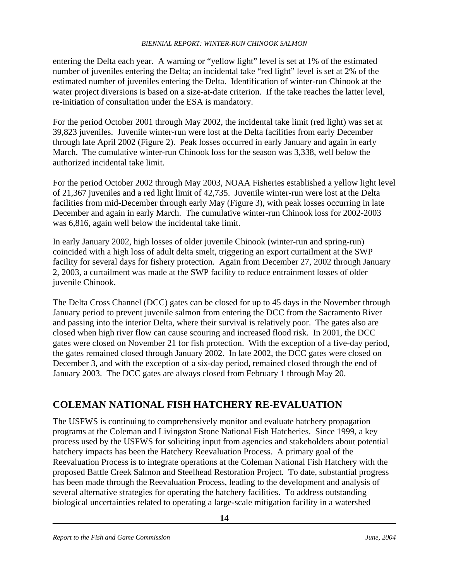entering the Delta each year. A warning or "yellow light" level is set at 1% of the estimated number of juveniles entering the Delta; an incidental take "red light" level is set at 2% of the estimated number of juveniles entering the Delta. Identification of winter-run Chinook at the water project diversions is based on a size-at-date criterion. If the take reaches the latter level, re-initiation of consultation under the ESA is mandatory.

For the period October 2001 through May 2002, the incidental take limit (red light) was set at 39,823 juveniles. Juvenile winter-run were lost at the Delta facilities from early December through late April 2002 (Figure 2). Peak losses occurred in early January and again in early March. The cumulative winter-run Chinook loss for the season was 3,338, well below the authorized incidental take limit.

For the period October 2002 through May 2003, NOAA Fisheries established a yellow light level of 21,367 juveniles and a red light limit of 42,735. Juvenile winter-run were lost at the Delta facilities from mid-December through early May (Figure 3), with peak losses occurring in late December and again in early March. The cumulative winter-run Chinook loss for 2002-2003 was 6,816, again well below the incidental take limit.

In early January 2002, high losses of older juvenile Chinook (winter-run and spring-run) coincided with a high loss of adult delta smelt, triggering an export curtailment at the SWP facility for several days for fishery protection. Again from December 27, 2002 through January 2, 2003, a curtailment was made at the SWP facility to reduce entrainment losses of older juvenile Chinook.

The Delta Cross Channel (DCC) gates can be closed for up to 45 days in the November through January period to prevent juvenile salmon from entering the DCC from the Sacramento River and passing into the interior Delta, where their survival is relatively poor. The gates also are closed when high river flow can cause scouring and increased flood risk. In 2001, the DCC gates were closed on November 21 for fish protection. With the exception of a five-day period, the gates remained closed through January 2002. In late 2002, the DCC gates were closed on December 3, and with the exception of a six-day period, remained closed through the end of January 2003. The DCC gates are always closed from February 1 through May 20.

### **COLEMAN NATIONAL FISH HATCHERY RE-EVALUATION**

The USFWS is continuing to comprehensively monitor and evaluate hatchery propagation programs at the Coleman and Livingston Stone National Fish Hatcheries. Since 1999, a key process used by the USFWS for soliciting input from agencies and stakeholders about potential hatchery impacts has been the Hatchery Reevaluation Process. A primary goal of the Reevaluation Process is to integrate operations at the Coleman National Fish Hatchery with the proposed Battle Creek Salmon and Steelhead Restoration Project. To date, substantial progress has been made through the Reevaluation Process, leading to the development and analysis of several alternative strategies for operating the hatchery facilities. To address outstanding biological uncertainties related to operating a large-scale mitigation facility in a watershed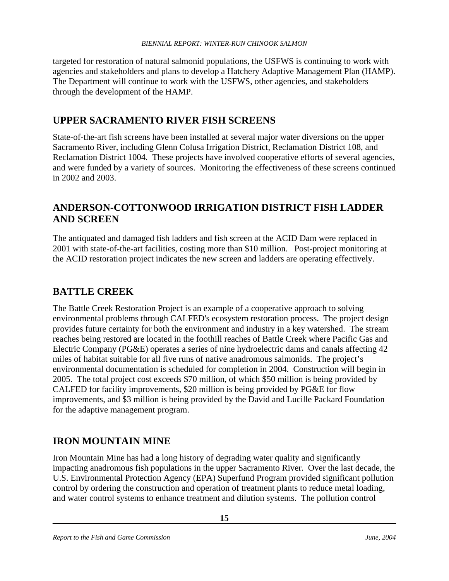targeted for restoration of natural salmonid populations, the USFWS is continuing to work with agencies and stakeholders and plans to develop a Hatchery Adaptive Management Plan (HAMP). The Department will continue to work with the USFWS, other agencies, and stakeholders through the development of the HAMP.

### **UPPER SACRAMENTO RIVER FISH SCREENS**

State-of-the-art fish screens have been installed at several major water diversions on the upper Sacramento River, including Glenn Colusa Irrigation District, Reclamation District 108, and Reclamation District 1004. These projects have involved cooperative efforts of several agencies, and were funded by a variety of sources. Monitoring the effectiveness of these screens continued in 2002 and 2003.

### **ANDERSON-COTTONWOOD IRRIGATION DISTRICT FISH LADDER AND SCREEN**

The antiquated and damaged fish ladders and fish screen at the ACID Dam were replaced in 2001 with state-of-the-art facilities, costing more than \$10 million. Post-project monitoring at the ACID restoration project indicates the new screen and ladders are operating effectively.

### **BATTLE CREEK**

The Battle Creek Restoration Project is an example of a cooperative approach to solving environmental problems through CALFED's ecosystem restoration process. The project design provides future certainty for both the environment and industry in a key watershed. The stream reaches being restored are located in the foothill reaches of Battle Creek where Pacific Gas and Electric Company (PG&E) operates a series of nine hydroelectric dams and canals affecting 42 miles of habitat suitable for all five runs of native anadromous salmonids. The project's environmental documentation is scheduled for completion in 2004. Construction will begin in 2005. The total project cost exceeds \$70 million, of which \$50 million is being provided by CALFED for facility improvements, \$20 million is being provided by PG&E for flow improvements, and \$3 million is being provided by the David and Lucille Packard Foundation for the adaptive management program.

### **IRON MOUNTAIN MINE**

Iron Mountain Mine has had a long history of degrading water quality and significantly impacting anadromous fish populations in the upper Sacramento River. Over the last decade, the U.S. Environmental Protection Agency (EPA) Superfund Program provided significant pollution control by ordering the construction and operation of treatment plants to reduce metal loading, and water control systems to enhance treatment and dilution systems. The pollution control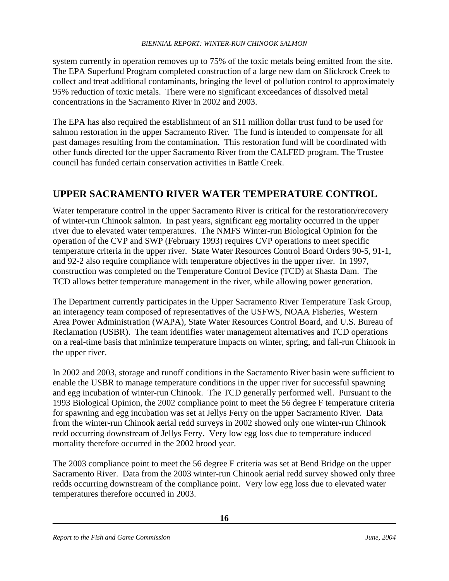system currently in operation removes up to 75% of the toxic metals being emitted from the site. The EPA Superfund Program completed construction of a large new dam on Slickrock Creek to collect and treat additional contaminants, bringing the level of pollution control to approximately 95% reduction of toxic metals. There were no significant exceedances of dissolved metal concentrations in the Sacramento River in 2002 and 2003.

The EPA has also required the establishment of an \$11 million dollar trust fund to be used for salmon restoration in the upper Sacramento River. The fund is intended to compensate for all past damages resulting from the contamination. This restoration fund will be coordinated with other funds directed for the upper Sacramento River from the CALFED program. The Trustee council has funded certain conservation activities in Battle Creek.

### **UPPER SACRAMENTO RIVER WATER TEMPERATURE CONTROL**

Water temperature control in the upper Sacramento River is critical for the restoration/recovery of winter-run Chinook salmon. In past years, significant egg mortality occurred in the upper river due to elevated water temperatures. The NMFS Winter-run Biological Opinion for the operation of the CVP and SWP (February 1993) requires CVP operations to meet specific temperature criteria in the upper river. State Water Resources Control Board Orders 90-5, 91-1, and 92-2 also require compliance with temperature objectives in the upper river. In 1997, construction was completed on the Temperature Control Device (TCD) at Shasta Dam. The TCD allows better temperature management in the river, while allowing power generation.

The Department currently participates in the Upper Sacramento River Temperature Task Group, an interagency team composed of representatives of the USFWS, NOAA Fisheries, Western Area Power Administration (WAPA), State Water Resources Control Board, and U.S. Bureau of Reclamation (USBR). The team identifies water management alternatives and TCD operations on a real-time basis that minimize temperature impacts on winter, spring, and fall-run Chinook in the upper river.

In 2002 and 2003, storage and runoff conditions in the Sacramento River basin were sufficient to enable the USBR to manage temperature conditions in the upper river for successful spawning and egg incubation of winter-run Chinook. The TCD generally performed well. Pursuant to the 1993 Biological Opinion, the 2002 compliance point to meet the 56 degree F temperature criteria for spawning and egg incubation was set at Jellys Ferry on the upper Sacramento River. Data from the winter-run Chinook aerial redd surveys in 2002 showed only one winter-run Chinook redd occurring downstream of Jellys Ferry. Very low egg loss due to temperature induced mortality therefore occurred in the 2002 brood year.

The 2003 compliance point to meet the 56 degree F criteria was set at Bend Bridge on the upper Sacramento River. Data from the 2003 winter-run Chinook aerial redd survey showed only three redds occurring downstream of the compliance point. Very low egg loss due to elevated water temperatures therefore occurred in 2003.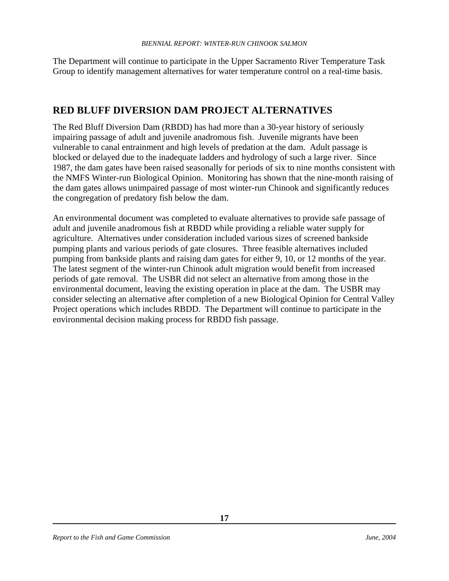The Department will continue to participate in the Upper Sacramento River Temperature Task Group to identify management alternatives for water temperature control on a real-time basis.

### **RED BLUFF DIVERSION DAM PROJECT ALTERNATIVES**

The Red Bluff Diversion Dam (RBDD) has had more than a 30-year history of seriously impairing passage of adult and juvenile anadromous fish. Juvenile migrants have been vulnerable to canal entrainment and high levels of predation at the dam. Adult passage is blocked or delayed due to the inadequate ladders and hydrology of such a large river. Since 1987, the dam gates have been raised seasonally for periods of six to nine months consistent with the NMFS Winter-run Biological Opinion. Monitoring has shown that the nine-month raising of the dam gates allows unimpaired passage of most winter-run Chinook and significantly reduces the congregation of predatory fish below the dam.

An environmental document was completed to evaluate alternatives to provide safe passage of adult and juvenile anadromous fish at RBDD while providing a reliable water supply for agriculture. Alternatives under consideration included various sizes of screened bankside pumping plants and various periods of gate closures. Three feasible alternatives included pumping from bankside plants and raising dam gates for either 9, 10, or 12 months of the year. The latest segment of the winter-run Chinook adult migration would benefit from increased periods of gate removal. The USBR did not select an alternative from among those in the environmental document, leaving the existing operation in place at the dam. The USBR may consider selecting an alternative after completion of a new Biological Opinion for Central Valley Project operations which includes RBDD. The Department will continue to participate in the environmental decision making process for RBDD fish passage.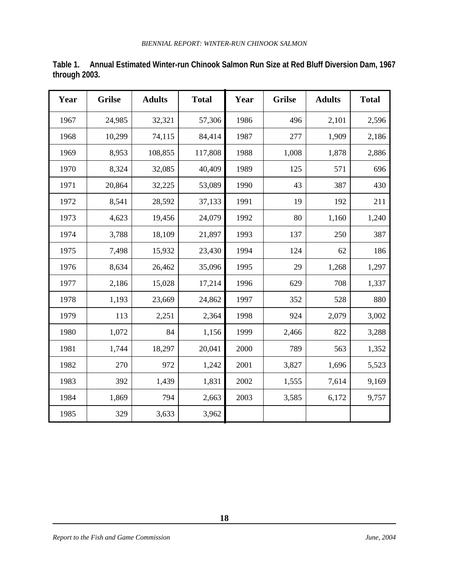| Year | <b>Grilse</b> | <b>Adults</b> | <b>Total</b> | Year | <b>Grilse</b> | <b>Adults</b> | <b>Total</b> |
|------|---------------|---------------|--------------|------|---------------|---------------|--------------|
| 1967 | 24,985        | 32,321        | 57,306       | 1986 | 496           | 2,101         | 2,596        |
| 1968 | 10,299        | 74,115        | 84,414       | 1987 | 277           | 1,909         | 2,186        |
| 1969 | 8,953         | 108,855       | 117,808      | 1988 | 1,008         | 1,878         | 2,886        |
| 1970 | 8,324         | 32,085        | 40,409       | 1989 | 125           | 571           | 696          |
| 1971 | 20,864        | 32,225        | 53,089       | 1990 | 43            | 387           | 430          |
| 1972 | 8,541         | 28,592        | 37,133       | 1991 | 19            | 192           | 211          |
| 1973 | 4,623         | 19,456        | 24,079       | 1992 | 80            | 1,160         | 1,240        |
| 1974 | 3,788         | 18,109        | 21,897       | 1993 | 137           | 250           | 387          |
| 1975 | 7,498         | 15,932        | 23,430       | 1994 | 124           | 62            | 186          |
| 1976 | 8,634         | 26,462        | 35,096       | 1995 | 29            | 1,268         | 1,297        |
| 1977 | 2,186         | 15,028        | 17,214       | 1996 | 629           | 708           | 1,337        |
| 1978 | 1,193         | 23,669        | 24,862       | 1997 | 352           | 528           | 880          |
| 1979 | 113           | 2,251         | 2,364        | 1998 | 924           | 2,079         | 3,002        |
| 1980 | 1,072         | 84            | 1,156        | 1999 | 2,466         | 822           | 3,288        |
| 1981 | 1,744         | 18,297        | 20,041       | 2000 | 789           | 563           | 1,352        |
| 1982 | 270           | 972           | 1,242        | 2001 | 3,827         | 1,696         | 5,523        |
| 1983 | 392           | 1,439         | 1,831        | 2002 | 1,555         | 7,614         | 9,169        |
| 1984 | 1,869         | 794           | 2,663        | 2003 | 3,585         | 6,172         | 9,757        |
| 1985 | 329           | 3,633         | 3,962        |      |               |               |              |

**Table 1. Annual Estimated Winter-run Chinook Salmon Run Size at Red Bluff Diversion Dam, 1967 through 2003.**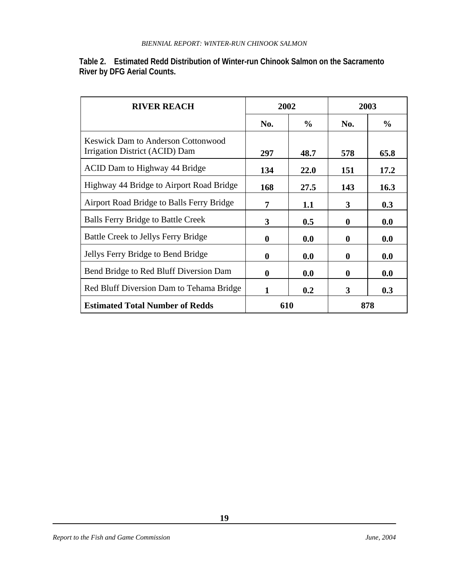| Table 2. Estimated Redd Distribution of Winter-run Chinook Salmon on the Sacramento |
|-------------------------------------------------------------------------------------|
| <b>River by DFG Aerial Counts.</b>                                                  |

| <b>RIVER REACH</b>                                                          | 2002         |               | 2003         |               |
|-----------------------------------------------------------------------------|--------------|---------------|--------------|---------------|
|                                                                             | No.          | $\frac{6}{9}$ | No.          | $\frac{6}{9}$ |
| <b>Keswick Dam to Anderson Cottonwood</b><br>Irrigation District (ACID) Dam | 297          | 48.7          | 578          | 65.8          |
| ACID Dam to Highway 44 Bridge                                               | 134          | 22.0          | 151          | 17.2          |
| Highway 44 Bridge to Airport Road Bridge                                    | 168          | 27.5          | 143          | 16.3          |
| Airport Road Bridge to Balls Ferry Bridge                                   | 7            | 1.1           | 3            | 0.3           |
| <b>Balls Ferry Bridge to Battle Creek</b>                                   | 3            | 0.5           | $\mathbf{0}$ | 0.0           |
| Battle Creek to Jellys Ferry Bridge                                         | $\mathbf 0$  | 0.0           | $\mathbf 0$  | 0.0           |
| Jellys Ferry Bridge to Bend Bridge                                          | $\mathbf 0$  | 0.0           | $\bf{0}$     | 0.0           |
| Bend Bridge to Red Bluff Diversion Dam                                      | $\mathbf{0}$ | 0.0           | $\mathbf{0}$ | 0.0           |
| Red Bluff Diversion Dam to Tehama Bridge                                    | 1            | 0.2           | 3            | 0.3           |
| <b>Estimated Total Number of Redds</b>                                      | 610          |               | 878          |               |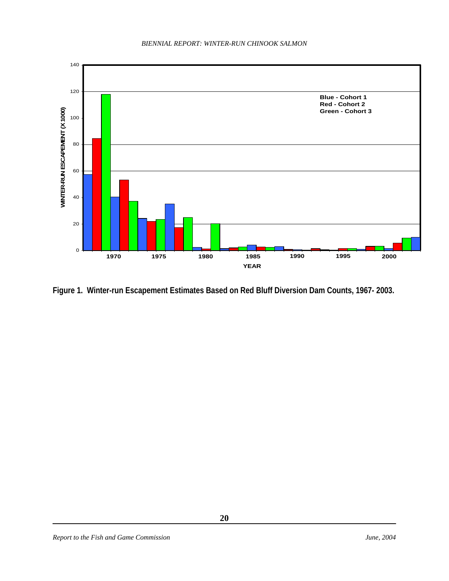

**Figure 1. Winter-run Escapement Estimates Based on Red Bluff Diversion Dam Counts, 1967- 2003.**

**20**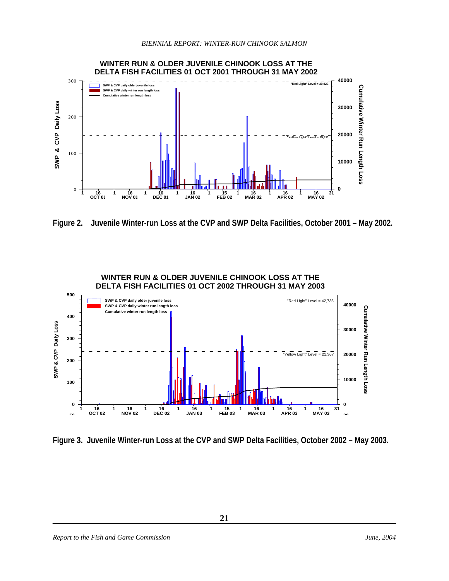

**Figure 2. Juvenile Winter-run Loss at the CVP and SWP Delta Facilities, October 2001 – May 2002.** 



**Figure 3. Juvenile Winter-run Loss at the CVP and SWP Delta Facilities, October 2002 – May 2003.**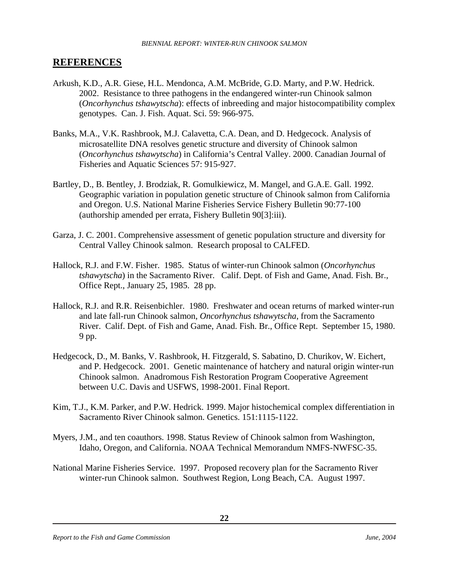### **REFERENCES**

- Arkush, K.D., A.R. Giese, H.L. Mendonca, A.M. McBride, G.D. Marty, and P.W. Hedrick. 2002. Resistance to three pathogens in the endangered winter-run Chinook salmon (*Oncorhynchus tshawytscha*): effects of inbreeding and major histocompatibility complex genotypes. Can. J. Fish. Aquat. Sci. 59: 966-975.
- Banks, M.A., V.K. Rashbrook, M.J. Calavetta, C.A. Dean, and D. Hedgecock. Analysis of microsatellite DNA resolves genetic structure and diversity of Chinook salmon (*Oncorhynchus tshawytscha*) in California's Central Valley. 2000. Canadian Journal of Fisheries and Aquatic Sciences 57: 915-927.
- Bartley, D., B. Bentley, J. Brodziak, R. Gomulkiewicz, M. Mangel, and G.A.E. Gall. 1992. Geographic variation in population genetic structure of Chinook salmon from California and Oregon. U.S. National Marine Fisheries Service Fishery Bulletin 90:77-100 (authorship amended per errata, Fishery Bulletin 90[3]:iii).
- Garza, J. C. 2001. Comprehensive assessment of genetic population structure and diversity for Central Valley Chinook salmon. Research proposal to CALFED.
- Hallock, R.J. and F.W. Fisher. 1985. Status of winter-run Chinook salmon (*Oncorhynchus tshawytscha*) in the Sacramento River. Calif. Dept. of Fish and Game, Anad. Fish. Br., Office Rept., January 25, 1985. 28 pp.
- Hallock, R.J. and R.R. Reisenbichler. 1980. Freshwater and ocean returns of marked winter-run and late fall-run Chinook salmon, *Oncorhynchus tshawytscha*, from the Sacramento River. Calif. Dept. of Fish and Game, Anad. Fish. Br., Office Rept. September 15, 1980. 9 pp.
- Hedgecock, D., M. Banks, V. Rashbrook, H. Fitzgerald, S. Sabatino, D. Churikov, W. Eichert, and P. Hedgecock. 2001. Genetic maintenance of hatchery and natural origin winter-run Chinook salmon. Anadromous Fish Restoration Program Cooperative Agreement between U.C. Davis and USFWS, 1998-2001. Final Report.
- Kim, T.J., K.M. Parker, and P.W. Hedrick. 1999. Major histochemical complex differentiation in Sacramento River Chinook salmon. Genetics. 151:1115-1122.
- Myers, J.M., and ten coauthors. 1998. Status Review of Chinook salmon from Washington, Idaho, Oregon, and California. NOAA Technical Memorandum NMFS-NWFSC-35.
- National Marine Fisheries Service. 1997. Proposed recovery plan for the Sacramento River winter-run Chinook salmon. Southwest Region, Long Beach, CA. August 1997.